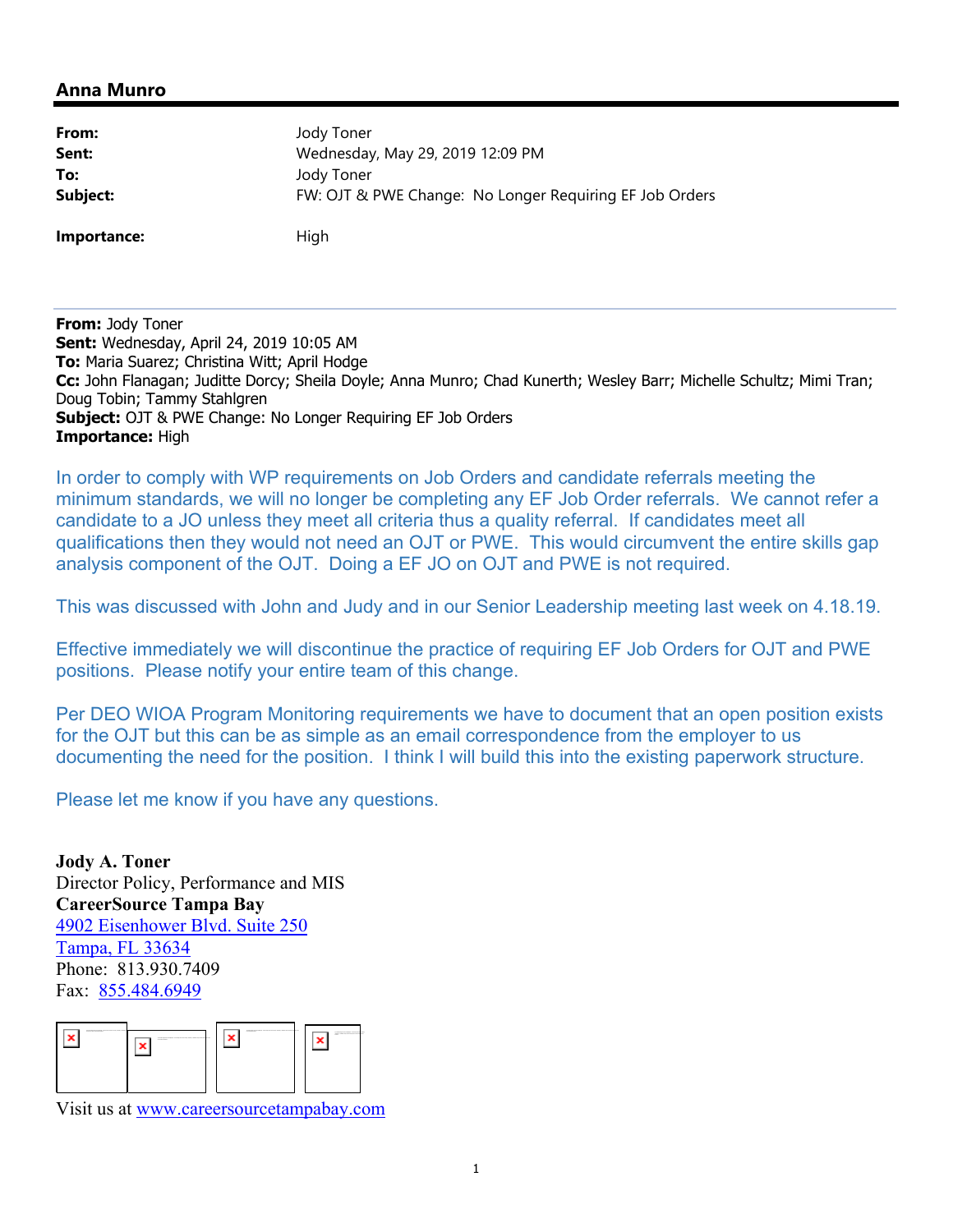## **Anna Munro**

| From:       | Jody Toner                                              |
|-------------|---------------------------------------------------------|
| Sent:       | Wednesday, May 29, 2019 12:09 PM                        |
| To:         | Jody Toner                                              |
| Subject:    | FW: OJT & PWE Change: No Longer Requiring EF Job Orders |
| Importance: | High                                                    |

**From:** Jody Toner **Sent:** Wednesday, April 24, 2019 10:05 AM **To:** Maria Suarez; Christina Witt; April Hodge **Cc:** John Flanagan; Juditte Dorcy; Sheila Doyle; Anna Munro; Chad Kunerth; Wesley Barr; Michelle Schultz; Mimi Tran; Doug Tobin; Tammy Stahlgren **Subject:** OJT & PWE Change: No Longer Requiring EF Job Orders **Importance:** High

In order to comply with WP requirements on Job Orders and candidate referrals meeting the minimum standards, we will no longer be completing any EF Job Order referrals. We cannot refer a candidate to a JO unless they meet all criteria thus a quality referral. If candidates meet all qualifications then they would not need an OJT or PWE. This would circumvent the entire skills gap analysis component of the OJT. Doing a EF JO on OJT and PWE is not required.

This was discussed with John and Judy and in our Senior Leadership meeting last week on 4.18.19.

Effective immediately we will discontinue the practice of requiring EF Job Orders for OJT and PWE positions. Please notify your entire team of this change.

Per DEO WIOA Program Monitoring requirements we have to document that an open position exists for the OJT but this can be as simple as an email correspondence from the employer to us documenting the need for the position. I think I will build this into the existing paperwork structure.

Please let me know if you have any questions.

**Jody A. Toner** Director Policy, Performance and MIS **CareerSource Tampa Bay** 4902 Eisenhower Blvd. Suite 250 Tampa, FL 33634 Phone: 813.930.7409 Fax: 855.484.6949



Visit us at www.careersourcetampabay.com